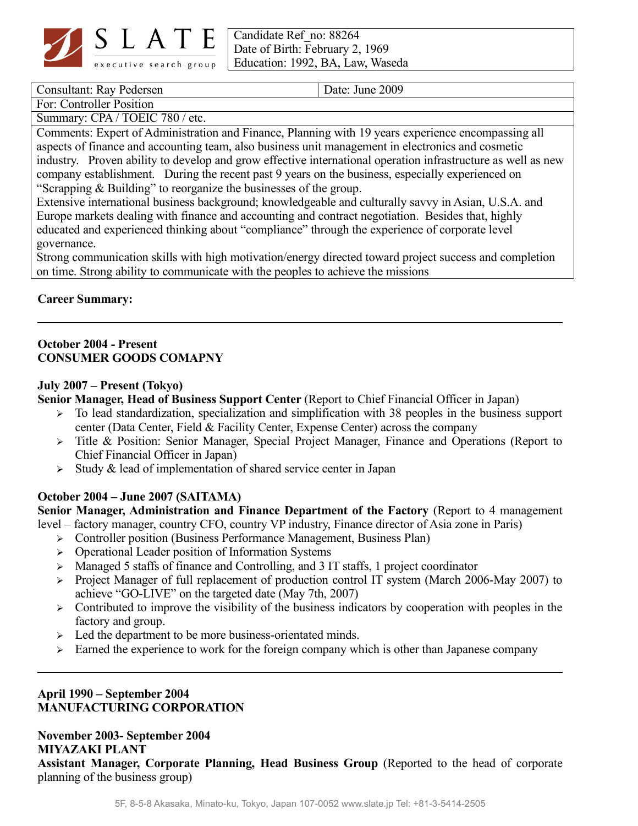

Candidate Ref\_no: 88264 Date of Birth: February 2, 1969 Education: 1992, BA, Law, Waseda

Consultant: Ray Pedersen Date: June 2009

For: Controller Position

Summary: CPA / TOEIC 780 / etc.

Comments: Expert of Administration and Finance, Planning with 19 years experience encompassing all aspects of finance and accounting team, also business unit management in electronics and cosmetic industry. Proven ability to develop and grow effective international operation infrastructure as well as new company establishment. During the recent past 9 years on the business, especially experienced on "Scrapping & Building" to reorganize the businesses of the group.

Extensive international business background; knowledgeable and culturally savvy in Asian, U.S.A. and Europe markets dealing with finance and accounting and contract negotiation. Besides that, highly educated and experienced thinking about "compliance" through the experience of corporate level governance.

Strong communication skills with high motivation/energy directed toward project success and completion on time. Strong ability to communicate with the peoples to achieve the missions

### **Career Summary:**

### **October 2004 - Present CONSUMER GOODS COMAPNY**

### **July 2007 – Present (Tokyo)**

**Senior Manager, Head of Business Support Center** (Report to Chief Financial Officer in Japan)

- $\triangleright$  To lead standardization, specialization and simplification with 38 peoples in the business support center (Data Center, Field & Facility Center, Expense Center) across the company
- ➢ Title & Position: Senior Manager, Special Project Manager, Finance and Operations (Report to Chief Financial Officer in Japan)
- $\triangleright$  Study & lead of implementation of shared service center in Japan

# **October 2004 – June 2007 (SAITAMA)**

**Senior Manager, Administration and Finance Department of the Factory** (Report to 4 management level – factory manager, country CFO, country VP industry, Finance director of Asia zone in Paris)

- ➢ Controller position (Business Performance Management, Business Plan)
- ➢ Operational Leader position of Information Systems
- ➢ Managed 5 staffs of finance and Controlling, and 3 IT staffs, 1 project coordinator
- ➢ Project Manager of full replacement of production control IT system (March 2006-May 2007) to achieve "GO-LIVE" on the targeted date (May 7th, 2007)
- $\triangleright$  Contributed to improve the visibility of the business indicators by cooperation with peoples in the factory and group.
- $\geq$  Led the department to be more business-orientated minds.
- ➢ Earned the experience to work for the foreign company which is other than Japanese company

# **April 1990 – September 2004 MANUFACTURING CORPORATION**

**November 2003- September 2004 MIYAZAKI PLANT Assistant Manager, Corporate Planning, Head Business Group** (Reported to the head of corporate planning of the business group)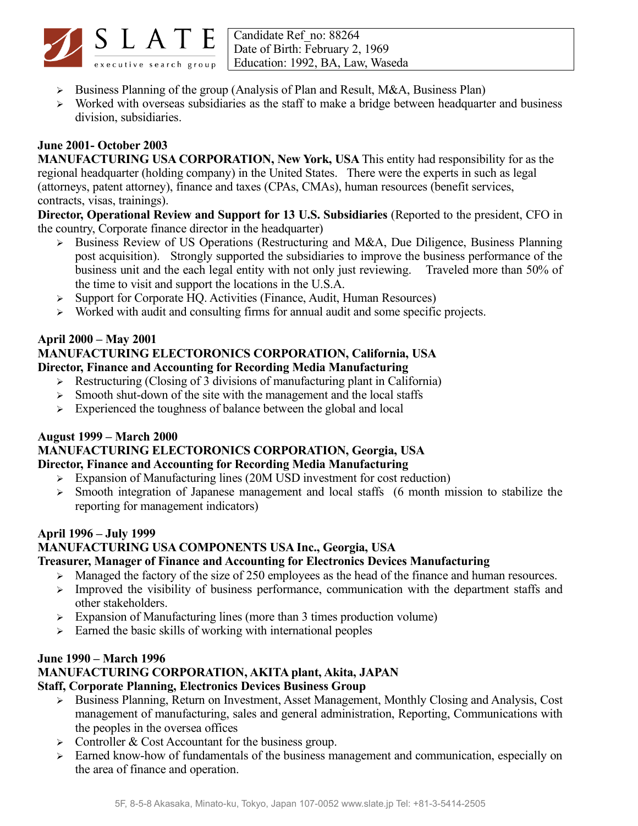

Candidate Ref\_no: 88264 Date of Birth: February 2, 1969 executive search group | Education: 1992, BA, Law, Waseda

- ➢ Business Planning of the group (Analysis of Plan and Result, M&A, Business Plan)
- ➢ Worked with overseas subsidiaries as the staff to make a bridge between headquarter and business division, subsidiaries.

### **June 2001- October 2003**

**MANUFACTURING USA CORPORATION, New York, USA** This entity had responsibility for as the regional headquarter (holding company) in the United States. There were the experts in such as legal (attorneys, patent attorney), finance and taxes (CPAs, CMAs), human resources (benefit services, contracts, visas, trainings).

**Director, Operational Review and Support for 13 U.S. Subsidiaries** (Reported to the president, CFO in the country, Corporate finance director in the headquarter)

- ➢ Business Review of US Operations (Restructuring and M&A, Due Diligence, Business Planning post acquisition). Strongly supported the subsidiaries to improve the business performance of the business unit and the each legal entity with not only just reviewing. Traveled more than 50% of the time to visit and support the locations in the U.S.A.
- ➢ Support for Corporate HQ. Activities (Finance, Audit, Human Resources)
- ➢ Worked with audit and consulting firms for annual audit and some specific projects.

#### **April 2000 – May 2001 MANUFACTURING ELECTORONICS CORPORATION, California, USA Director, Finance and Accounting for Recording Media Manufacturing**

- ➢ Restructuring (Closing of 3 divisions of manufacturing plant in California)
- ➢ Smooth shut-down of the site with the management and the local staffs
- $\triangleright$  Experienced the toughness of balance between the global and local

# **August 1999 – March 2000**

#### **MANUFACTURING ELECTORONICS CORPORATION, Georgia, USA Director, Finance and Accounting for Recording Media Manufacturing**

- ➢ Expansion of Manufacturing lines (20M USD investment for cost reduction)
- ➢ Smooth integration of Japanese management and local staffs (6 month mission to stabilize the reporting for management indicators)

# **April 1996 – July 1999**

# **MANUFACTURING USA COMPONENTS USA Inc., Georgia, USA**

#### **Treasurer, Manager of Finance and Accounting for Electronics Devices Manufacturing**

- $\geq$  Managed the factory of the size of 250 employees as the head of the finance and human resources.
- ➢ Improved the visibility of business performance, communication with the department staffs and other stakeholders.
- ➢ Expansion of Manufacturing lines (more than 3 times production volume)
- ➢ Earned the basic skills of working with international peoples

#### **June 1990 – March 1996 MANUFACTURING CORPORATION, AKITA plant, Akita, JAPAN**

# **Staff, Corporate Planning, Electronics Devices Business Group**

- ➢ Business Planning, Return on Investment, Asset Management, Monthly Closing and Analysis, Cost management of manufacturing, sales and general administration, Reporting, Communications with the peoples in the oversea offices
- $\triangleright$  Controller & Cost Accountant for the business group.
- ➢ Earned know-how of fundamentals of the business management and communication, especially on the area of finance and operation.